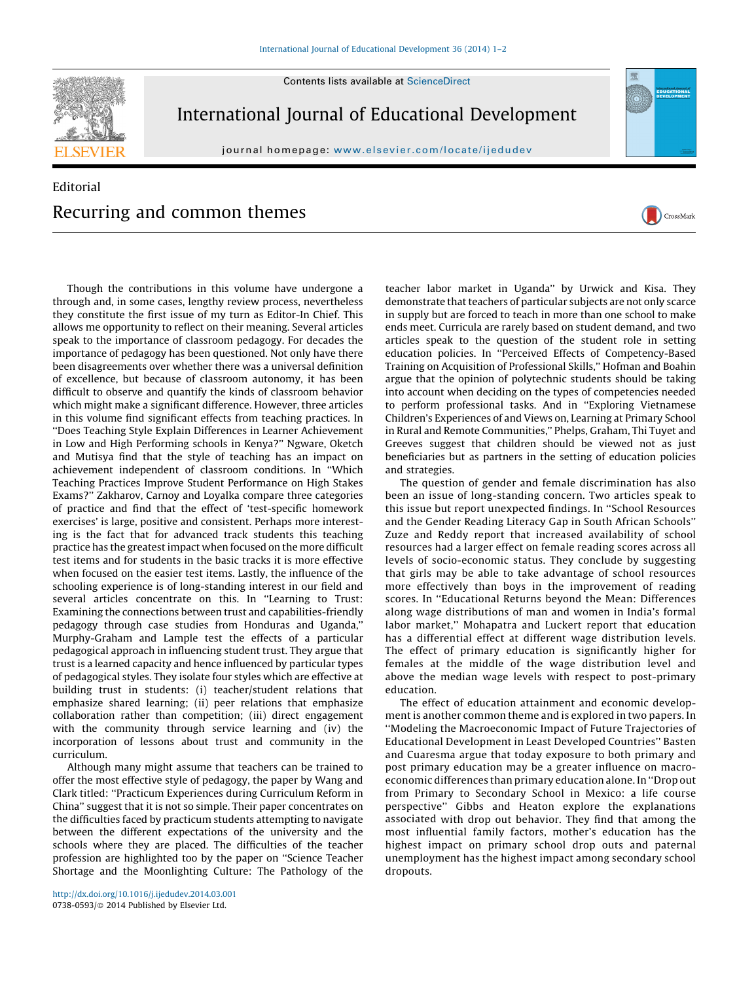Contents lists available at [ScienceDirect](http://www.sciencedirect.com/science/journal/07380593)



International Journal of Educational Development

journal homepage: www.elsevier.com/locate/ijedudev

## Editorial Recurring and common themes

Though the contributions in this volume have undergone a through and, in some cases, lengthy review process, nevertheless they constitute the first issue of my turn as Editor-In Chief. This allows me opportunity to reflect on their meaning. Several articles speak to the importance of classroom pedagogy. For decades the importance of pedagogy has been questioned. Not only have there been disagreements over whether there was a universal definition of excellence, but because of classroom autonomy, it has been difficult to observe and quantify the kinds of classroom behavior which might make a significant difference. However, three articles in this volume find significant effects from teaching practices. In ''Does Teaching Style Explain Differences in Learner Achievement in Low and High Performing schools in Kenya?'' Ngware, Oketch and Mutisya find that the style of teaching has an impact on achievement independent of classroom conditions. In ''Which Teaching Practices Improve Student Performance on High Stakes Exams?'' Zakharov, Carnoy and Loyalka compare three categories of practice and find that the effect of 'test-specific homework exercises' is large, positive and consistent. Perhaps more interesting is the fact that for advanced track students this teaching practice has the greatestimpact when focused on the more difficult test items and for students in the basic tracks it is more effective when focused on the easier test items. Lastly, the influence of the schooling experience is of long-standing interest in our field and several articles concentrate on this. In ''Learning to Trust: Examining the connections between trust and capabilities-friendly pedagogy through case studies from Honduras and Uganda,'' Murphy-Graham and Lample test the effects of a particular pedagogical approach in influencing student trust. They argue that trust is a learned capacity and hence influenced by particular types of pedagogical styles. They isolate four styles which are effective at building trust in students: (i) teacher/student relations that emphasize shared learning; (ii) peer relations that emphasize collaboration rather than competition; (iii) direct engagement with the community through service learning and (iv) the incorporation of lessons about trust and community in the curriculum.

Although many might assume that teachers can be trained to offer the most effective style of pedagogy, the paper by Wang and Clark titled: ''Practicum Experiences during Curriculum Reform in China'' suggest that it is not so simple. Their paper concentrates on the difficulties faced by practicum students attempting to navigate between the different expectations of the university and the schools where they are placed. The difficulties of the teacher profession are highlighted too by the paper on ''Science Teacher Shortage and the Moonlighting Culture: The Pathology of the

teacher labor market in Uganda'' by Urwick and Kisa. They demonstrate that teachers of particular subjects are not only scarce in supply but are forced to teach in more than one school to make ends meet. Curricula are rarely based on student demand, and two articles speak to the question of the student role in setting education policies. In ''Perceived Effects of Competency-Based Training on Acquisition of Professional Skills,'' Hofman and Boahin argue that the opinion of polytechnic students should be taking into account when deciding on the types of competencies needed to perform professional tasks. And in ''Exploring Vietnamese Children's Experiences of and Views on, Learning at Primary School in Rural and Remote Communities,'' Phelps, Graham, Thi Tuyet and Greeves suggest that children should be viewed not as just beneficiaries but as partners in the setting of education policies and strategies.

CrossMark

The question of gender and female discrimination has also been an issue of long-standing concern. Two articles speak to this issue but report unexpected findings. In ''School Resources and the Gender Reading Literacy Gap in South African Schools'' Zuze and Reddy report that increased availability of school resources had a larger effect on female reading scores across all levels of socio-economic status. They conclude by suggesting that girls may be able to take advantage of school resources more effectively than boys in the improvement of reading scores. In ''Educational Returns beyond the Mean: Differences along wage distributions of man and women in India's formal labor market,'' Mohapatra and Luckert report that education has a differential effect at different wage distribution levels. The effect of primary education is significantly higher for females at the middle of the wage distribution level and above the median wage levels with respect to post-primary education.

The effect of education attainment and economic development is another common theme and is explored in two papers. In ''Modeling the Macroeconomic Impact of Future Trajectories of Educational Development in Least Developed Countries'' Basten and Cuaresma argue that today exposure to both primary and post primary education may be a greater influence on macroeconomic differences than primary education alone. In ''Drop out from Primary to Secondary School in Mexico: a life course perspective'' Gibbs and Heaton explore the explanations associated with drop out behavior. They find that among the most influential family factors, mother's education has the highest impact on primary school drop outs and paternal unemployment has the highest impact among secondary school dropouts.